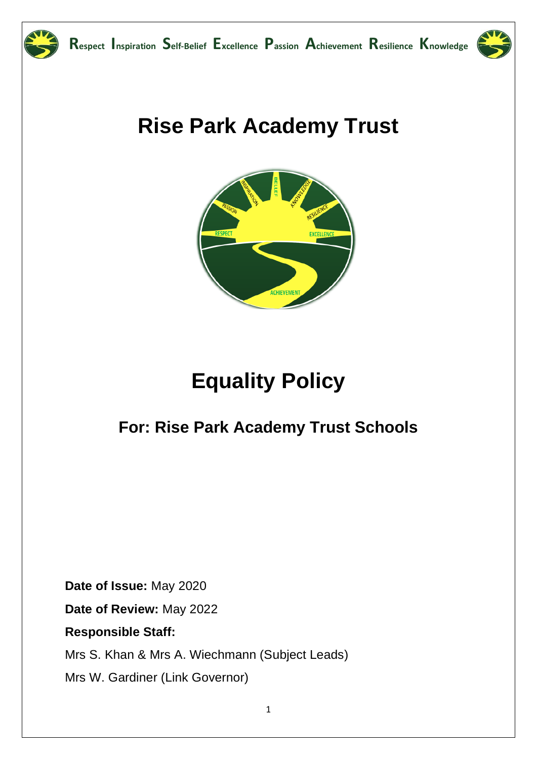

## **Rise Park Academy Trust**



# **Equality Policy**

## **For: Rise Park Academy Trust Schools**

**Date of Issue:** May 2020

**Date of Review:** May 2022

**Responsible Staff:**

Mrs S. Khan & Mrs A. Wiechmann (Subject Leads)

Mrs W. Gardiner (Link Governor)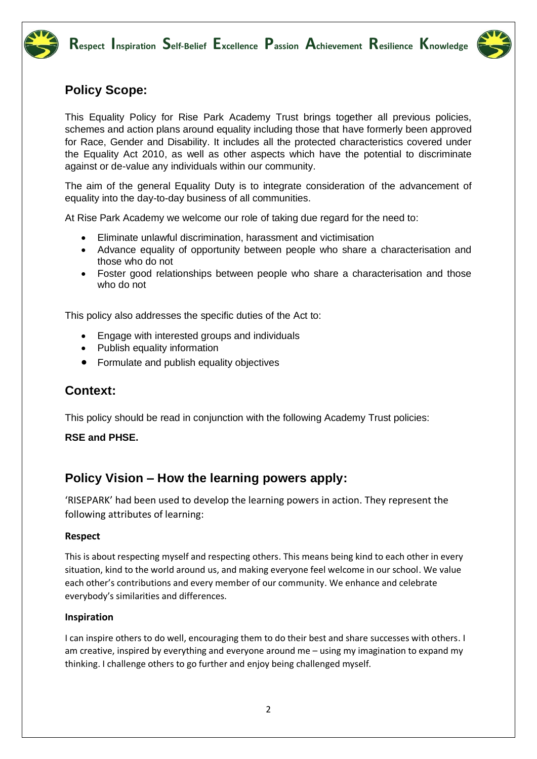



## **Policy Scope:**

This Equality Policy for Rise Park Academy Trust brings together all previous policies, schemes and action plans around equality including those that have formerly been approved for Race, Gender and Disability. It includes all the protected characteristics covered under the Equality Act 2010, as well as other aspects which have the potential to discriminate against or de-value any individuals within our community.

The aim of the general Equality Duty is to integrate consideration of the advancement of equality into the day-to-day business of all communities.

At Rise Park Academy we welcome our role of taking due regard for the need to:

- Eliminate unlawful discrimination, harassment and victimisation
- Advance equality of opportunity between people who share a characterisation and those who do not
- Foster good relationships between people who share a characterisation and those who do not

This policy also addresses the specific duties of the Act to:

- Engage with interested groups and individuals
- Publish equality information
- Formulate and publish equality objectives

## **Context:**

This policy should be read in conjunction with the following Academy Trust policies:

#### **RSE and PHSE.**

## **Policy Vision – How the learning powers apply:**

'RISEPARK' had been used to develop the learning powers in action. They represent the following attributes of learning:

#### **Respect**

This is about respecting myself and respecting others. This means being kind to each other in every situation, kind to the world around us, and making everyone feel welcome in our school. We value each other's contributions and every member of our community. We enhance and celebrate everybody's similarities and differences.

#### **Inspiration**

I can inspire others to do well, encouraging them to do their best and share successes with others. I am creative, inspired by everything and everyone around me – using my imagination to expand my thinking. I challenge others to go further and enjoy being challenged myself.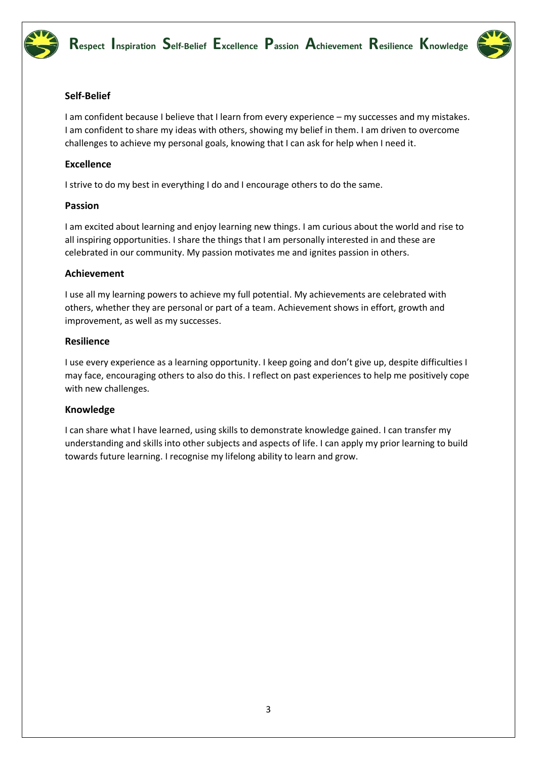



#### **Self-Belief**

I am confident because I believe that I learn from every experience – my successes and my mistakes. I am confident to share my ideas with others, showing my belief in them. I am driven to overcome challenges to achieve my personal goals, knowing that I can ask for help when I need it.

#### **Excellence**

I strive to do my best in everything I do and I encourage others to do the same.

#### **Passion**

I am excited about learning and enjoy learning new things. I am curious about the world and rise to all inspiring opportunities. I share the things that I am personally interested in and these are celebrated in our community. My passion motivates me and ignites passion in others.

#### **Achievement**

I use all my learning powers to achieve my full potential. My achievements are celebrated with others, whether they are personal or part of a team. Achievement shows in effort, growth and improvement, as well as my successes.

#### **Resilience**

I use every experience as a learning opportunity. I keep going and don't give up, despite difficulties I may face, encouraging others to also do this. I reflect on past experiences to help me positively cope with new challenges.

#### **Knowledge**

I can share what I have learned, using skills to demonstrate knowledge gained. I can transfer my understanding and skills into other subjects and aspects of life. I can apply my prior learning to build towards future learning. I recognise my lifelong ability to learn and grow.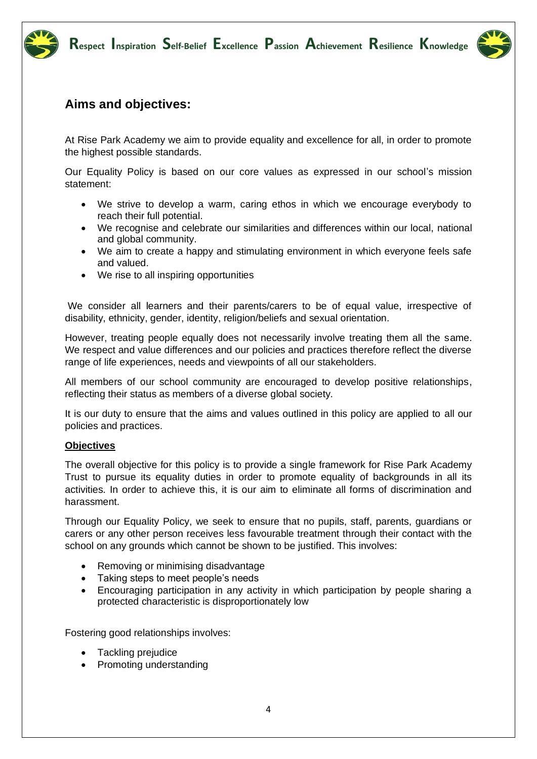



## **Aims and objectives:**

At Rise Park Academy we aim to provide equality and excellence for all, in order to promote the highest possible standards.

Our Equality Policy is based on our core values as expressed in our school's mission statement:

- We strive to develop a warm, caring ethos in which we encourage everybody to reach their full potential.
- We recognise and celebrate our similarities and differences within our local, national and global community.
- We aim to create a happy and stimulating environment in which everyone feels safe and valued.
- We rise to all inspiring opportunities

We consider all learners and their parents/carers to be of equal value, irrespective of disability, ethnicity, gender, identity, religion/beliefs and sexual orientation.

However, treating people equally does not necessarily involve treating them all the same. We respect and value differences and our policies and practices therefore reflect the diverse range of life experiences, needs and viewpoints of all our stakeholders.

All members of our school community are encouraged to develop positive relationships, reflecting their status as members of a diverse global society.

It is our duty to ensure that the aims and values outlined in this policy are applied to all our policies and practices.

#### **Objectives**

The overall objective for this policy is to provide a single framework for Rise Park Academy Trust to pursue its equality duties in order to promote equality of backgrounds in all its activities. In order to achieve this, it is our aim to eliminate all forms of discrimination and harassment.

Through our Equality Policy, we seek to ensure that no pupils, staff, parents, guardians or carers or any other person receives less favourable treatment through their contact with the school on any grounds which cannot be shown to be justified. This involves:

- Removing or minimising disadvantage
- Taking steps to meet people's needs
- Encouraging participation in any activity in which participation by people sharing a protected characteristic is disproportionately low

Fostering good relationships involves:

- Tackling prejudice
- Promoting understanding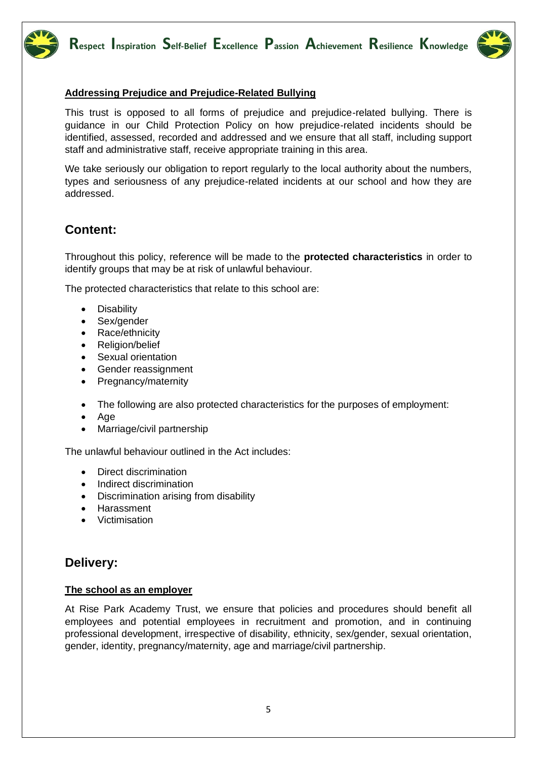



#### **Addressing Prejudice and Prejudice-Related Bullying**

This trust is opposed to all forms of prejudice and prejudice-related bullying. There is guidance in our Child Protection Policy on how prejudice-related incidents should be identified, assessed, recorded and addressed and we ensure that all staff, including support staff and administrative staff, receive appropriate training in this area.

We take seriously our obligation to report regularly to the local authority about the numbers, types and seriousness of any prejudice-related incidents at our school and how they are addressed.

## **Content:**

Throughout this policy, reference will be made to the **protected characteristics** in order to identify groups that may be at risk of unlawful behaviour.

The protected characteristics that relate to this school are:

- Disability
- Sex/gender
- Race/ethnicity
- Religion/belief
- Sexual orientation
- Gender reassignment
- Pregnancy/maternity
- The following are also protected characteristics for the purposes of employment:
- Age
- Marriage/civil partnership

The unlawful behaviour outlined in the Act includes:

- Direct discrimination
- Indirect discrimination
- Discrimination arising from disability
- Harassment
- Victimisation

## **Delivery:**

#### **The school as an employer**

At Rise Park Academy Trust, we ensure that policies and procedures should benefit all employees and potential employees in recruitment and promotion, and in continuing professional development, irrespective of disability, ethnicity, sex/gender, sexual orientation, gender, identity, pregnancy/maternity, age and marriage/civil partnership.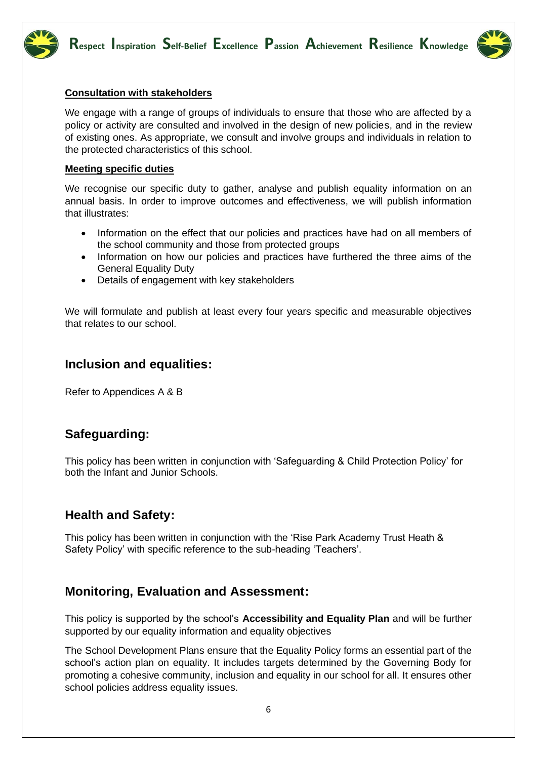



#### **Consultation with stakeholders**

We engage with a range of groups of individuals to ensure that those who are affected by a policy or activity are consulted and involved in the design of new policies, and in the review of existing ones. As appropriate, we consult and involve groups and individuals in relation to the protected characteristics of this school.

#### **Meeting specific duties**

We recognise our specific duty to gather, analyse and publish equality information on an annual basis. In order to improve outcomes and effectiveness, we will publish information that illustrates:

- Information on the effect that our policies and practices have had on all members of the school community and those from protected groups
- Information on how our policies and practices have furthered the three aims of the General Equality Duty
- Details of engagement with key stakeholders

We will formulate and publish at least every four years specific and measurable objectives that relates to our school.

## **Inclusion and equalities:**

Refer to Appendices A & B

## **Safeguarding:**

This policy has been written in conjunction with 'Safeguarding & Child Protection Policy' for both the Infant and Junior Schools.

## **Health and Safety:**

This policy has been written in conjunction with the 'Rise Park Academy Trust Heath & Safety Policy' with specific reference to the sub-heading 'Teachers'.

## **Monitoring, Evaluation and Assessment:**

This policy is supported by the school's **Accessibility and Equality Plan** and will be further supported by our equality information and equality objectives

The School Development Plans ensure that the Equality Policy forms an essential part of the school's action plan on equality. It includes targets determined by the Governing Body for promoting a cohesive community, inclusion and equality in our school for all. It ensures other school policies address equality issues.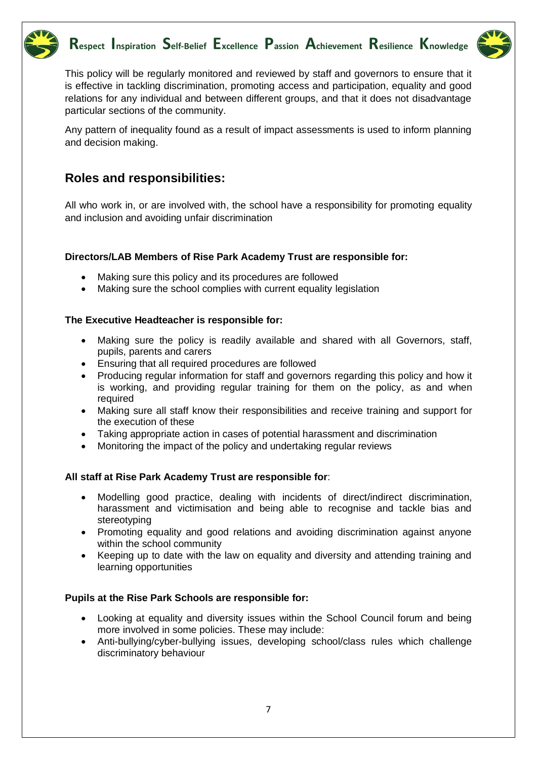



This policy will be regularly monitored and reviewed by staff and governors to ensure that it is effective in tackling discrimination, promoting access and participation, equality and good relations for any individual and between different groups, and that it does not disadvantage particular sections of the community.

Any pattern of inequality found as a result of impact assessments is used to inform planning and decision making.

## **Roles and responsibilities:**

All who work in, or are involved with, the school have a responsibility for promoting equality and inclusion and avoiding unfair discrimination

#### **Directors/LAB Members of Rise Park Academy Trust are responsible for:**

- Making sure this policy and its procedures are followed
- Making sure the school complies with current equality legislation

#### **The Executive Headteacher is responsible for:**

- Making sure the policy is readily available and shared with all Governors, staff, pupils, parents and carers
- Ensuring that all required procedures are followed
- Producing regular information for staff and governors regarding this policy and how it is working, and providing regular training for them on the policy, as and when required
- Making sure all staff know their responsibilities and receive training and support for the execution of these
- Taking appropriate action in cases of potential harassment and discrimination
- Monitoring the impact of the policy and undertaking regular reviews

#### **All staff at Rise Park Academy Trust are responsible for**:

- Modelling good practice, dealing with incidents of direct/indirect discrimination, harassment and victimisation and being able to recognise and tackle bias and stereotyping
- Promoting equality and good relations and avoiding discrimination against anyone within the school community
- Keeping up to date with the law on equality and diversity and attending training and learning opportunities

#### **Pupils at the Rise Park Schools are responsible for:**

- Looking at equality and diversity issues within the School Council forum and being more involved in some policies. These may include:
- Anti-bullying/cyber-bullying issues, developing school/class rules which challenge discriminatory behaviour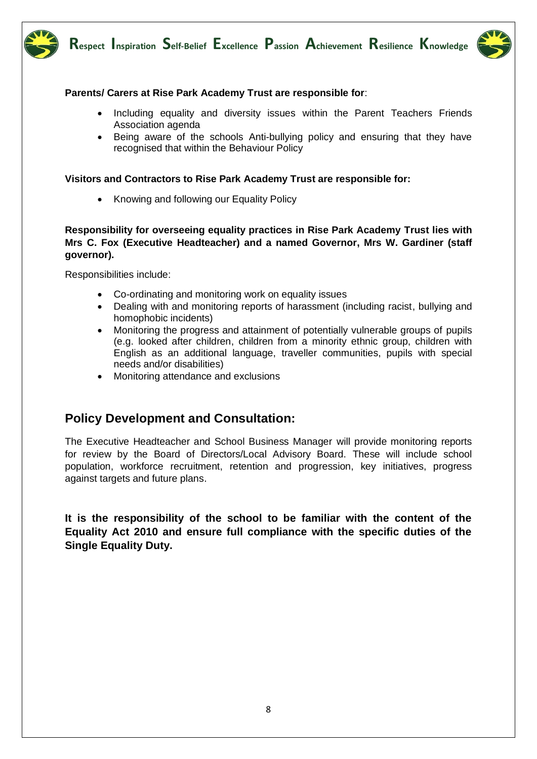



#### **Parents/ Carers at Rise Park Academy Trust are responsible for**:

- Including equality and diversity issues within the Parent Teachers Friends Association agenda
- Being aware of the schools Anti-bullying policy and ensuring that they have recognised that within the Behaviour Policy

#### **Visitors and Contractors to Rise Park Academy Trust are responsible for:**

• Knowing and following our Equality Policy

#### **Responsibility for overseeing equality practices in Rise Park Academy Trust lies with Mrs C. Fox (Executive Headteacher) and a named Governor, Mrs W. Gardiner (staff governor).**

Responsibilities include:

- Co-ordinating and monitoring work on equality issues
- Dealing with and monitoring reports of harassment (including racist, bullying and homophobic incidents)
- Monitoring the progress and attainment of potentially vulnerable groups of pupils (e.g. looked after children, children from a minority ethnic group, children with English as an additional language, traveller communities, pupils with special needs and/or disabilities)
- Monitoring attendance and exclusions

## **Policy Development and Consultation:**

The Executive Headteacher and School Business Manager will provide monitoring reports for review by the Board of Directors/Local Advisory Board. These will include school population, workforce recruitment, retention and progression, key initiatives, progress against targets and future plans.

**It is the responsibility of the school to be familiar with the content of the Equality Act 2010 and ensure full compliance with the specific duties of the Single Equality Duty.**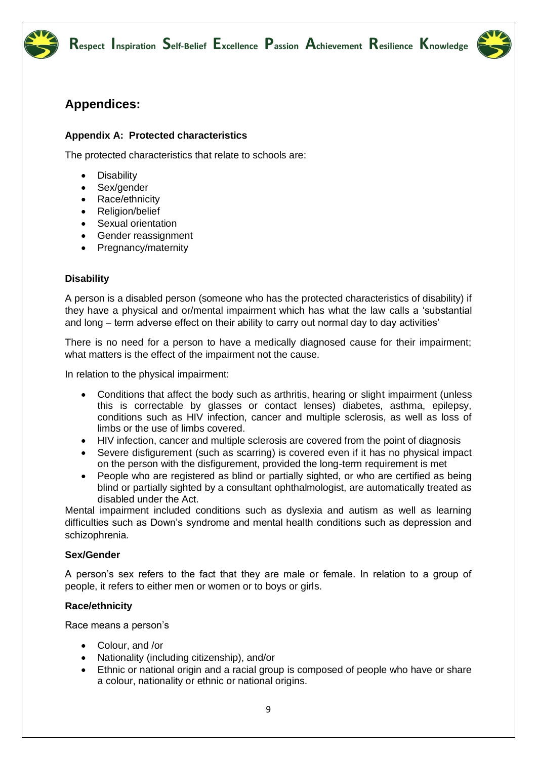



## **Appendices:**

#### **Appendix A: Protected characteristics**

The protected characteristics that relate to schools are:

- **Disability**
- Sex/gender
- Race/ethnicity
- Religion/belief
- Sexual orientation
- Gender reassignment
- Pregnancy/maternity

#### **Disability**

A person is a disabled person (someone who has the protected characteristics of disability) if they have a physical and or/mental impairment which has what the law calls a 'substantial and long – term adverse effect on their ability to carry out normal day to day activities'

There is no need for a person to have a medically diagnosed cause for their impairment; what matters is the effect of the impairment not the cause.

In relation to the physical impairment:

- Conditions that affect the body such as arthritis, hearing or slight impairment (unless this is correctable by glasses or contact lenses) diabetes, asthma, epilepsy, conditions such as HIV infection, cancer and multiple sclerosis, as well as loss of limbs or the use of limbs covered.
- HIV infection, cancer and multiple sclerosis are covered from the point of diagnosis
- Severe disfigurement (such as scarring) is covered even if it has no physical impact on the person with the disfigurement, provided the long-term requirement is met
- People who are registered as blind or partially sighted, or who are certified as being blind or partially sighted by a consultant ophthalmologist, are automatically treated as disabled under the Act.

Mental impairment included conditions such as dyslexia and autism as well as learning difficulties such as Down's syndrome and mental health conditions such as depression and schizophrenia.

#### **Sex/Gender**

A person's sex refers to the fact that they are male or female. In relation to a group of people, it refers to either men or women or to boys or girls.

#### **Race/ethnicity**

Race means a person's

- Colour, and /or
- Nationality (including citizenship), and/or
- Ethnic or national origin and a racial group is composed of people who have or share a colour, nationality or ethnic or national origins.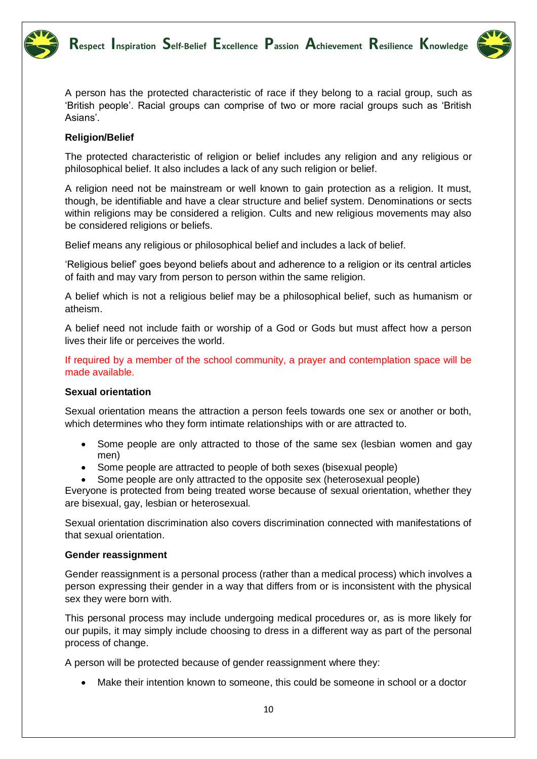



A person has the protected characteristic of race if they belong to a racial group, such as 'British people'. Racial groups can comprise of two or more racial groups such as 'British Asians'.

#### **Religion/Belief**

The protected characteristic of religion or belief includes any religion and any religious or philosophical belief. It also includes a lack of any such religion or belief.

A religion need not be mainstream or well known to gain protection as a religion. It must, though, be identifiable and have a clear structure and belief system. Denominations or sects within religions may be considered a religion. Cults and new religious movements may also be considered religions or beliefs.

Belief means any religious or philosophical belief and includes a lack of belief.

'Religious belief' goes beyond beliefs about and adherence to a religion or its central articles of faith and may vary from person to person within the same religion.

A belief which is not a religious belief may be a philosophical belief, such as humanism or atheism.

A belief need not include faith or worship of a God or Gods but must affect how a person lives their life or perceives the world.

If required by a member of the school community, a prayer and contemplation space will be made available.

#### **Sexual orientation**

Sexual orientation means the attraction a person feels towards one sex or another or both, which determines who they form intimate relationships with or are attracted to.

- Some people are only attracted to those of the same sex (lesbian women and gay men)
- Some people are attracted to people of both sexes (bisexual people)
- Some people are only attracted to the opposite sex (heterosexual people)

Everyone is protected from being treated worse because of sexual orientation, whether they are bisexual, gay, lesbian or heterosexual.

Sexual orientation discrimination also covers discrimination connected with manifestations of that sexual orientation.

#### **Gender reassignment**

Gender reassignment is a personal process (rather than a medical process) which involves a person expressing their gender in a way that differs from or is inconsistent with the physical sex they were born with.

This personal process may include undergoing medical procedures or, as is more likely for our pupils, it may simply include choosing to dress in a different way as part of the personal process of change.

A person will be protected because of gender reassignment where they:

• Make their intention known to someone, this could be someone in school or a doctor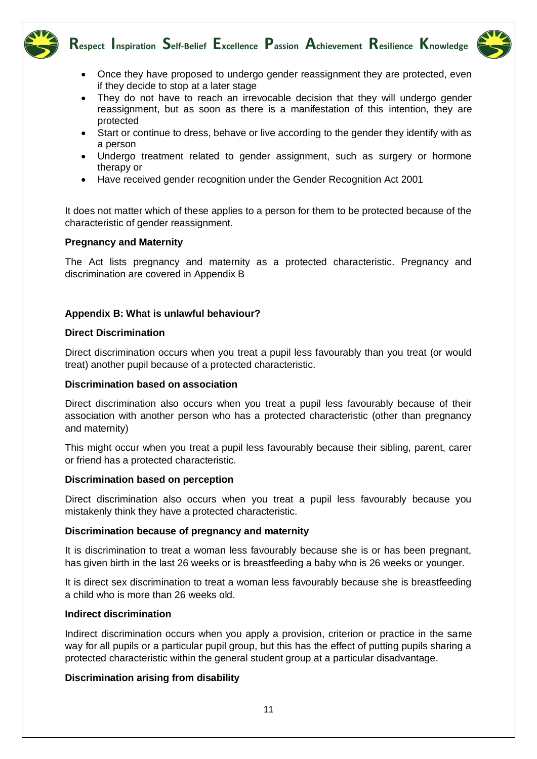



- Once they have proposed to undergo gender reassignment they are protected, even if they decide to stop at a later stage
- They do not have to reach an irrevocable decision that they will undergo gender reassignment, but as soon as there is a manifestation of this intention, they are protected
- Start or continue to dress, behave or live according to the gender they identify with as a person
- Undergo treatment related to gender assignment, such as surgery or hormone therapy or
- Have received gender recognition under the Gender Recognition Act 2001

It does not matter which of these applies to a person for them to be protected because of the characteristic of gender reassignment.

#### **Pregnancy and Maternity**

The Act lists pregnancy and maternity as a protected characteristic. Pregnancy and discrimination are covered in Appendix B

#### **Appendix B: What is unlawful behaviour?**

#### **Direct Discrimination**

Direct discrimination occurs when you treat a pupil less favourably than you treat (or would treat) another pupil because of a protected characteristic.

#### **Discrimination based on association**

Direct discrimination also occurs when you treat a pupil less favourably because of their association with another person who has a protected characteristic (other than pregnancy and maternity)

This might occur when you treat a pupil less favourably because their sibling, parent, carer or friend has a protected characteristic.

#### **Discrimination based on perception**

Direct discrimination also occurs when you treat a pupil less favourably because you mistakenly think they have a protected characteristic.

#### **Discrimination because of pregnancy and maternity**

It is discrimination to treat a woman less favourably because she is or has been pregnant, has given birth in the last 26 weeks or is breastfeeding a baby who is 26 weeks or younger.

It is direct sex discrimination to treat a woman less favourably because she is breastfeeding a child who is more than 26 weeks old.

#### **Indirect discrimination**

Indirect discrimination occurs when you apply a provision, criterion or practice in the same way for all pupils or a particular pupil group, but this has the effect of putting pupils sharing a protected characteristic within the general student group at a particular disadvantage.

#### **Discrimination arising from disability**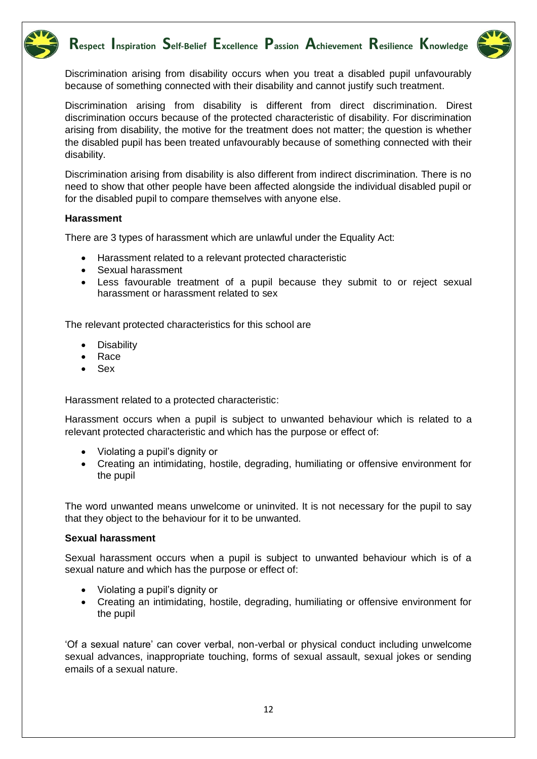



Discrimination arising from disability occurs when you treat a disabled pupil unfavourably because of something connected with their disability and cannot justify such treatment.

Discrimination arising from disability is different from direct discrimination. Direst discrimination occurs because of the protected characteristic of disability. For discrimination arising from disability, the motive for the treatment does not matter; the question is whether the disabled pupil has been treated unfavourably because of something connected with their disability.

Discrimination arising from disability is also different from indirect discrimination. There is no need to show that other people have been affected alongside the individual disabled pupil or for the disabled pupil to compare themselves with anyone else.

#### **Harassment**

There are 3 types of harassment which are unlawful under the Equality Act:

- Harassment related to a relevant protected characteristic
- Sexual harassment
- Less favourable treatment of a pupil because they submit to or reject sexual harassment or harassment related to sex

The relevant protected characteristics for this school are

- **Disability**
- Race
- Sex

Harassment related to a protected characteristic:

Harassment occurs when a pupil is subject to unwanted behaviour which is related to a relevant protected characteristic and which has the purpose or effect of:

- Violating a pupil's dignity or
- Creating an intimidating, hostile, degrading, humiliating or offensive environment for the pupil

The word unwanted means unwelcome or uninvited. It is not necessary for the pupil to say that they object to the behaviour for it to be unwanted.

#### **Sexual harassment**

Sexual harassment occurs when a pupil is subject to unwanted behaviour which is of a sexual nature and which has the purpose or effect of:

- Violating a pupil's dignity or
- Creating an intimidating, hostile, degrading, humiliating or offensive environment for the pupil

'Of a sexual nature' can cover verbal, non-verbal or physical conduct including unwelcome sexual advances, inappropriate touching, forms of sexual assault, sexual jokes or sending emails of a sexual nature.